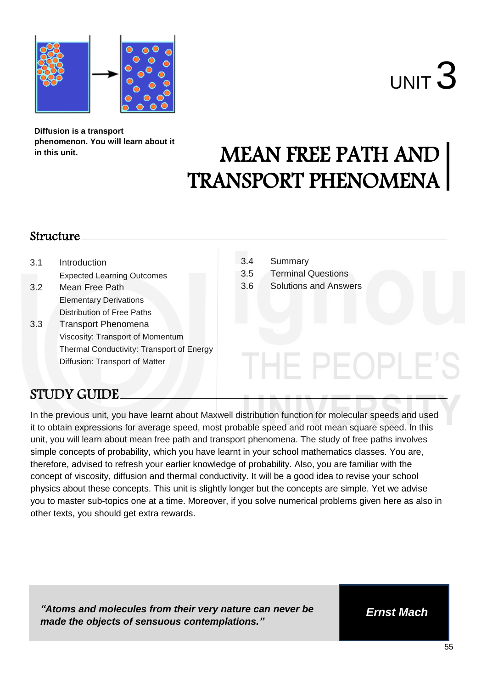



**Diffusion is a transport phenomenon. You will learn about it in this unit.**

# MEAN FREE PATH AND TRANSPORT PHENOMENA

### Structure

| 3.1 | Introduction<br><b>Expected Learning Outcomes</b> | 3.4<br>3.5 | Summary<br><b>Terminal Questions</b> |
|-----|---------------------------------------------------|------------|--------------------------------------|
| 3.2 | Mean Free Path                                    | 3.6        | <b>Solutions and Answers</b>         |
|     | <b>Elementary Derivations</b>                     |            |                                      |
|     | Distribution of Free Paths                        |            |                                      |
| 3.3 | <b>Transport Phenomena</b>                        |            |                                      |
|     | Viscosity: Transport of Momentum                  |            |                                      |
|     | Thermal Conductivity: Transport of Energy         |            |                                      |
|     | Diffusion: Transport of Matter                    |            |                                      |

## STUDY GUIDE

In the previous unit, you have learnt about Maxwell distribution function for molecular speeds and used it to obtain expressions for average speed, most probable speed and root mean square speed. In this unit, you will learn about mean free path and transport phenomena. The study of free paths involves simple concepts of probability, which you have learnt in your school mathematics classes. You are, therefore, advised to refresh your earlier knowledge of probability. Also, you are familiar with the concept of viscosity, diffusion and thermal conductivity. It will be a good idea to revise your school physics about these concepts. This unit is slightly longer but the concepts are simple. Yet we advise you to master sub-topics one at a time. Moreover, if you solve numerical problems given here as also in other texts, you should get extra rewards.

*"Atoms and molecules from their very nature can never be made the objects of sensuous contemplations."*

*Ernst Mach*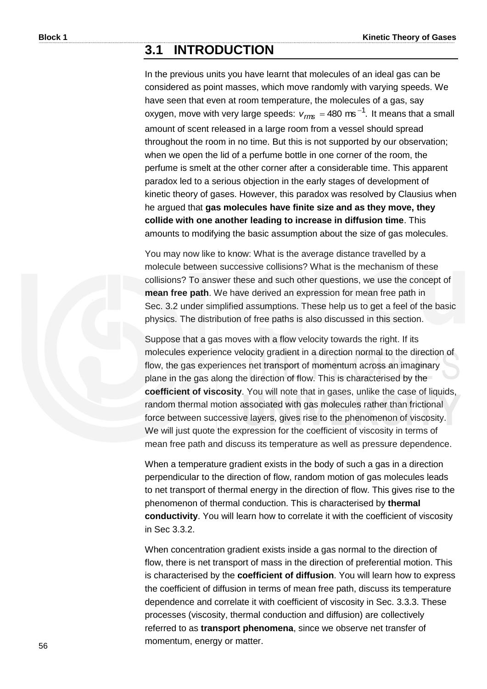## **3.1 INTRODUCTION**

In the previous units you have learnt that molecules of an ideal gas can be considered as point masses, which move randomly with varying speeds. We have seen that even at room temperature, the molecules of a gas, say oxygen, move with very large speeds:  $v_{\text{rms}} = 480 \text{ ms}^{-1}$ . It means that a small amount of scent released in a large room from a vessel should spread throughout the room in no time. But this is not supported by our observation; when we open the lid of a perfume bottle in one corner of the room, the perfume is smelt at the other corner after a considerable time. This apparent paradox led to a serious objection in the early stages of development of kinetic theory of gases. However, this paradox was resolved by Clausius when he argued that **gas molecules have finite size and as they move, they collide with one another leading to increase in diffusion time**. This amounts to modifying the basic assumption about the size of gas molecules.

You may now like to know: What is the average distance travelled by a molecule between successive collisions? What is the mechanism of these collisions? To answer these and such other questions, we use the concept of **mean free path**. We have derived an expression for mean free path in Sec. 3.2 under simplified assumptions. These help us to get a feel of the basic physics. The distribution of free paths is also discussed in this section.

Suppose that a gas moves with a flow velocity towards the right. If its molecules experience velocity gradient in a direction normal to the direction of flow, the gas experiences net transport of momentum across an imaginary plane in the gas along the direction of flow. This is characterised by the **coefficient of viscosity**. You will note that in gases, unlike the case of liquids, random thermal motion associated with gas molecules rather than frictional force between successive layers, gives rise to the phenomenon of viscosity. We will just quote the expression for the coefficient of viscosity in terms of mean free path and discuss its temperature as well as pressure dependence.

When a temperature gradient exists in the body of such a gas in a direction perpendicular to the direction of flow, random motion of gas molecules leads to net transport of thermal energy in the direction of flow. This gives rise to the phenomenon of thermal conduction. This is characterised by **thermal conductivity**. You will learn how to correlate it with the coefficient of viscosity in Sec 3.3.2.

When concentration gradient exists inside a gas normal to the direction of flow, there is net transport of mass in the direction of preferential motion. This is characterised by the **coefficient of diffusion**. You will learn how to express the coefficient of diffusion in terms of mean free path, discuss its temperature dependence and correlate it with coefficient of viscosity in Sec. 3.3.3. These processes (viscosity, thermal conduction and diffusion) are collectively referred to as **transport phenomena**, since we observe net transfer of momentum, energy or matter.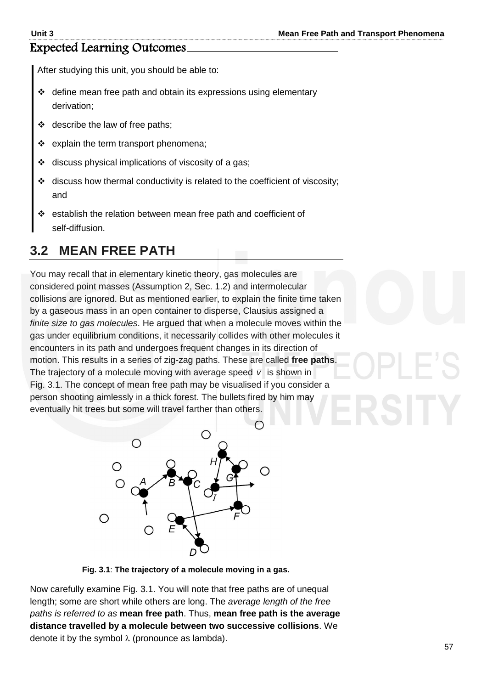## Expected Learning Outcomes

After studying this unit, you should be able to:

- $\div$  define mean free path and obtain its expressions using elementary derivation;
- $\div$  describe the law of free paths;
- explain the term transport phenomena;
- discuss physical implications of viscosity of a gas;
- discuss how thermal conductivity is related to the coefficient of viscosity; and
- establish the relation between mean free path and coefficient of self-diffusion.

# **3.2 MEAN FREE PATH**

You may recall that in elementary kinetic theory, gas molecules are considered point masses (Assumption 2, Sec. 1.2) and intermolecular collisions are ignored. But as mentioned earlier, to explain the finite time taken by a gaseous mass in an open container to disperse, Clausius assigned a *finite size to gas molecules*. He argued that when a molecule moves within the gas under equilibrium conditions, it necessarily collides with other molecules it encounters in its path and undergoes frequent changes in its direction of motion. This results in a series of zig-zag paths. These are called **free paths**. The trajectory of a molecule moving with average speed  $\bar{v}$  is shown in Fig. 3.1. The concept of mean free path may be visualised if you consider a person shooting aimlessly in a thick forest. The bullets fired by him may eventually hit trees but some will travel farther than others.



**Fig. 3.1**: **The trajectory of a molecule moving in a gas.** 

Now carefully examine Fig. 3.1. You will note that free paths are of unequal length; some are short while others are long. The *average length of the free paths is referred to as* **mean free path**. Thus, **mean free path is the average distance travelled by a molecule between two successive collisions**. We denote it by the symbol  $\lambda$  (pronounce as lambda).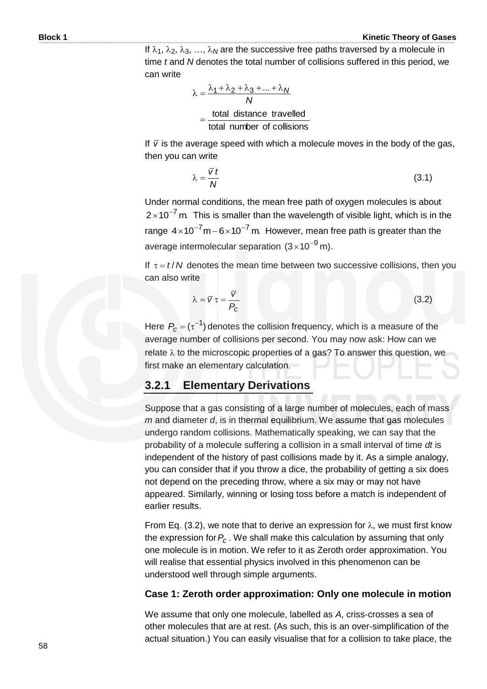If  $\lambda_1$ ,  $\lambda_2$ ,  $\lambda_3$ , ...,  $\lambda_N$  are the successive free paths traversed by a molecule in time *t* and *N* denotes the total number of collisions suffered in this period, we can write

$$
\lambda = \frac{\lambda_1 + \lambda_2 + \lambda_3 + \dots + \lambda_N}{N}
$$
  
= 
$$
\frac{\text{total distance travelled}}{\text{total number of collisions}}
$$

If  $\bar{v}$  is the average speed with which a molecule moves in the body of the gas, then you can write

$$
\lambda = \frac{\overline{v} t}{N} \tag{3.1}
$$

Under normal conditions, the mean free path of oxygen molecules is about  $2\times$ 10<sup>-7</sup> m. This is smaller than the wavelength of visible light, which is in the range  $4 \times 10^{-7}$  m  $-6 \times 10^{-7}$  m. However, mean free path is greater than the average intermolecular separation  $(3\times10^{-9}$  m).

If  $\tau = t/N$  denotes the mean time between two successive collisions, then you can also write

$$
\lambda = \overline{v} \tau = \frac{\overline{v}}{P_c} \tag{3.2}
$$

Here  $P_c = (\tau^{-1})$  denotes the collision frequency, which is a measure of the average number of collisions per second. You may now ask: How can we relate  $\lambda$  to the microscopic properties of a gas? To answer this question, we first make an elementary calculation.

## **3.2.1 Elementary Derivations**

Suppose that a gas consisting of a large number of molecules, each of mass *m* and diameter *d*, is in thermal equilibrium. We assume that gas molecules undergo random collisions. Mathematically speaking, we can say that the probability of a molecule suffering a collision in a small interval of time *dt* is independent of the history of past collisions made by it. As a simple analogy, you can consider that if you throw a dice, the probability of getting a six does not depend on the preceding throw, where a six may or may not have appeared. Similarly, winning or losing toss before a match is independent of earlier results.

From Eq. (3.2), we note that to derive an expression for  $\lambda$ , we must first know the expression for *Pc* . We shall make this calculation by assuming that only one molecule is in motion. We refer to it as Zeroth order approximation. You will realise that essential physics involved in this phenomenon can be understood well through simple arguments.

#### **Case 1: Zeroth order approximation: Only one molecule in motion**

We assume that only one molecule, labelled as *A*, criss-crosses a sea of other molecules that are at rest. (As such, this is an over-simplification of the actual situation.) You can easily visualise that for a collision to take place, the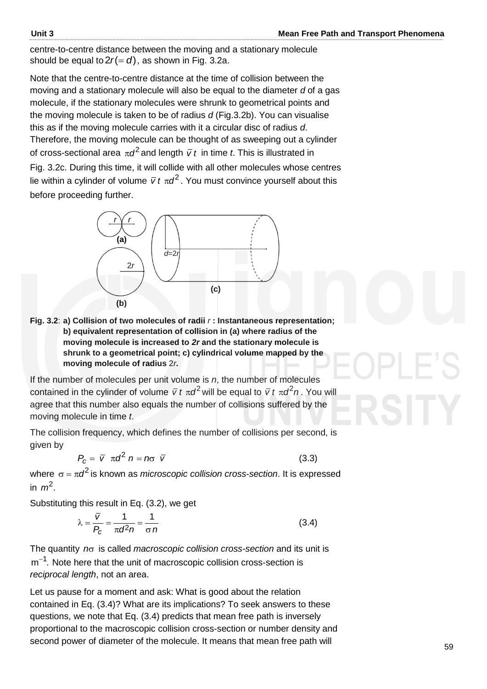centre-to-centre distance between the moving and a stationary molecule should be equal to  $2r(=d)$ , as shown in Fig. 3.2a.

Note that the centre-to-centre distance at the time of collision between the moving and a stationary molecule will also be equal to the diameter *d* of a gas molecule, if the stationary molecules were shrunk to geometrical points and the moving molecule is taken to be of radius *d* (Fig.3.2b). You can visualise this as if the moving molecule carries with it a circular disc of radius *d*. Therefore, the moving molecule can be thought of as sweeping out a cylinder of cross-sectional area  $\pi d^2$  and length  $\bar{v}$  t in time t. This is illustrated in Fig. 3.2c. During this time, it will collide with all other molecules whose centres lie within a cylinder of volume  $\bar{v}$  *t*  $\pi d^2$ . You must convince yourself about this before proceeding further.



**Fig. 3.2**: **a) Collision of two molecules of radii** *r* **: Instantaneous representation; b) equivalent representation of collision in (a) where radius of the moving molecule is increased to** *2r* **and the stationary molecule is shrunk to a geometrical point; c) cylindrical volume mapped by the moving molecule of radius** 2*r.*

If the number of molecules per unit volume is *n*, the number of molecules contained in the cylinder of volume  $\bar{v}$  *t*  $\pi d^2$  will be equal to  $\bar{v}$  *t*  $\pi d^2 n$ . You will agree that this number also equals the number of collisions suffered by the moving molecule in time *t*.

The collision frequency, which defines the number of collisions per second, is given by

 $P_c = \bar{v} \pi d^2 n = n\sigma \bar{v}$ (3.3)

where  $\sigma$  =  $\pi d^2$  is known as *microscopic collision cross-section*. It is expressed in  $m^2$ .

Substituting this result in Eq. (3.2), we get

$$
\lambda = \frac{\overline{V}}{P_c} = \frac{1}{\pi d^2 n} = \frac{1}{\sigma n}
$$
\n(3.4)

The quantity n<sub>o</sub> is called *macroscopic collision cross-section* and its unit is  $m^{-1}$ . Note here that the unit of macroscopic collision cross-section is *reciprocal length*, not an area.

Let us pause for a moment and ask: What is good about the relation contained in Eq. (3.4)? What are its implications? To seek answers to these questions, we note that Eq. (3.4) predicts that mean free path is inversely proportional to the macroscopic collision cross-section or number density and second power of diameter of the molecule. It means that mean free path will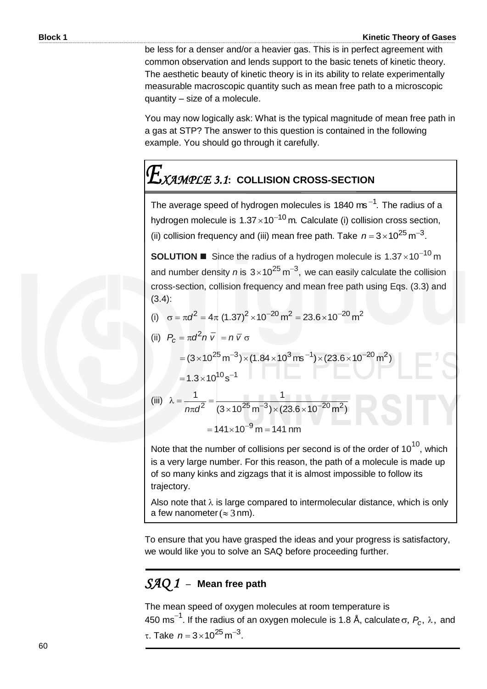be less for a denser and/or a heavier gas. This is in perfect agreement with common observation and lends support to the basic tenets of kinetic theory. The aesthetic beauty of kinetic theory is in its ability to relate experimentally measurable macroscopic quantity such as mean free path to a microscopic quantity – size of a molecule.

You may now logically ask: What is the typical magnitude of mean free path in a gas at STP? The answer to this question is contained in the following example. You should go through it carefully.

# *XAMPLE 3.1***: COLLISION CROSS-SECTION**

The average speed of hydrogen molecules is 1840 ms<sup> $-1$ </sup>. The radius of a hydrogen molecule is  $1.37 \times 10^{-10}$  m. Calculate (i) collision cross section, (ii) collision frequency and (iii) mean free path. Take  $n = 3 \times 10^{25}$  m<sup>-3</sup>.

**SOLUTION** Since the radius of a hydrogen molecule is  $1.37 \times 10^{-10}$  m and number density *n* is  $3 \times 10^{25}$  m<sup>-3</sup>, we can easily calculate the collision cross-section, collision frequency and mean free path using Eqs. (3.3) and (3.4):

(i)  $\sigma = \pi d^2 = 4\pi (1.37)^2 \times 10^{-20} \text{ m}^2 = 23.6 \times 10^{-20} \text{ m}^2$ 

(ii) 
$$
P_c = \pi d^2 n \bar{v} = n \bar{v} \sigma
$$
  
\n
$$
= (3 \times 10^{25} \text{ m}^{-3}) \times (1.84 \times 10^3 \text{ m}^{-1}) \times (23.6 \times 10^{-20} \text{ m}^2)
$$
\n
$$
= 1.3 \times 10^{10} \text{ s}^{-1}
$$
\n(iii) 
$$
\lambda = \frac{1}{n \pi d^2} = \frac{1}{(3 \times 10^{25} \text{ m}^{-3}) \times (23.6 \times 10^{-20} \text{ m}^2)}
$$
\n
$$
= 141 \times 10^{-9} \text{ m} = 141 \text{ nm}
$$

Note that the number of collisions per second is of the order of  $10^{10}$ , which is a very large number. For this reason, the path of a molecule is made up of so many kinks and zigzags that it is almost impossible to follow its trajectory.

Also note that  $\lambda$  is large compared to intermolecular distance, which is only a few nanometer ( $\approx$  3 nm).

To ensure that you have grasped the ideas and your progress is satisfactory, we would like you to solve an SAQ before proceeding further.

## *SAQ 1* –**Mean free path**

The mean speed of oxygen molecules at room temperature is 450  $\textsf{ms}^{-1}$ . If the radius of an oxygen molecule is 1.8 Å, calculate  $\sigma$ ,  $P_c$ ,  $\lambda$ , and τ. Take  $n = 3 \times 10^{25}$  m<sup>-3</sup>.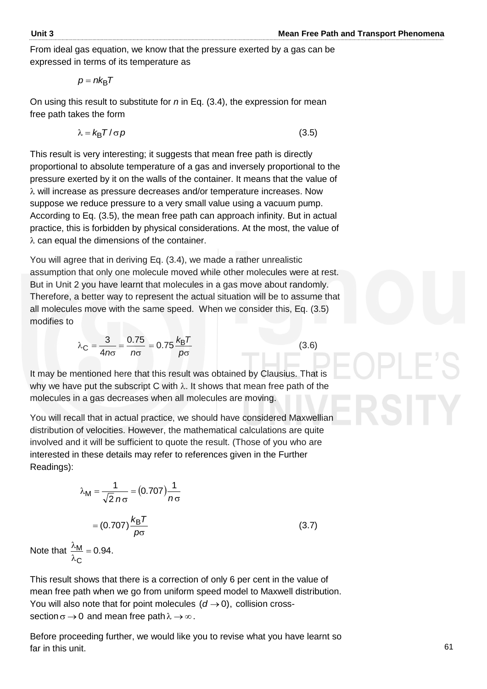From ideal gas equation, we know that the pressure exerted by a gas can be expressed in terms of its temperature as

$$
p=nk_{\rm B}T
$$

On using this result to substitute for *n* in Eq. (3.4), the expression for mean free path takes the form

$$
\lambda = k_{\rm B} T / \sigma \rho \tag{3.5}
$$

This result is very interesting; it suggests that mean free path is directly proportional to absolute temperature of a gas and inversely proportional to the pressure exerted by it on the walls of the container. It means that the value of  $\lambda$  will increase as pressure decreases and/or temperature increases. Now suppose we reduce pressure to a very small value using a vacuum pump. According to Eq. (3.5), the mean free path can approach infinity. But in actual practice, this is forbidden by physical considerations. At the most, the value of  $\lambda$  can equal the dimensions of the container.

You will agree that in deriving Eq. (3.4), we made a rather unrealistic assumption that only one molecule moved while other molecules were at rest. But in Unit 2 you have learnt that molecules in a gas move about randomly. Therefore, a better way to represent the actual situation will be to assume that all molecules move with the same speed. When we consider this, Eq. (3.5) modifies to

$$
\lambda_{\rm C} = \frac{3}{4n\sigma} = \frac{0.75}{n\sigma} = 0.75 \frac{k_{\rm B}T}{p\sigma}
$$

(3.6)

It may be mentioned here that this result was obtained by Clausius. That is why we have put the subscript C with  $\lambda$ . It shows that mean free path of the molecules in a gas decreases when all molecules are moving.

You will recall that in actual practice, we should have considered Maxwellian distribution of velocities. However, the mathematical calculations are quite involved and it will be sufficient to quote the result. (Those of you who are interested in these details may refer to references given in the Further Readings):

$$
\lambda_{\rm M} = \frac{1}{\sqrt{2} n \sigma} = (0.707) \frac{1}{n \sigma}
$$

$$
= (0.707) \frac{k_{\rm B} T}{\rho \sigma} \tag{3.7}
$$

Note that  $\frac{N}{N} = 0.94$ . C  $\frac{M}{2}$  = λ λ

This result shows that there is a correction of only 6 per cent in the value of mean free path when we go from uniform speed model to Maxwell distribution. You will also note that for point molecules  $(d \rightarrow 0)$ , collision crosssection  $\sigma \rightarrow 0$  and mean free path  $\lambda \rightarrow \infty$ .

Before proceeding further, we would like you to revise what you have learnt so far in this unit.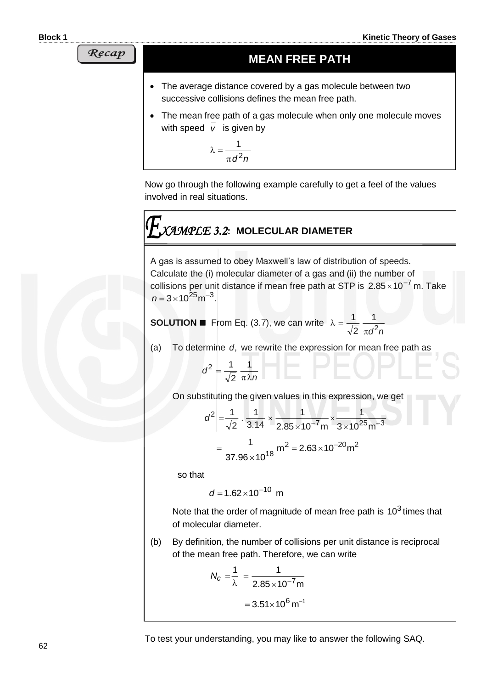Recap

## **MEAN FREE PATH**

- The average distance covered by a gas molecule between two successive collisions defines the mean free path.
- The mean free path of a gas molecule when only one molecule moves with speed *v* is given by

$$
\lambda = \frac{1}{\pi d^2 n}
$$

Now go through the following example carefully to get a feel of the values involved in real situations.

# *XAMPLE 3.2***: MOLECULAR DIAMETER**

A gas is assumed to obey Maxwell's law of distribution of speeds. Calculate the (i) molecular diameter of a gas and (ii) the number of collisions per unit distance if mean free path at STP is  $2.85 \times 10^{-7}$  m. Take  $n = 3 \times 10^{25}$  m<sup>-3</sup>.

**SOLUTION** ■ From Eq. (3.7), we can write  $d^2n$ 1 2 1  $\pi$  $\lambda =$ 

(a) To determine *d*, we rewrite the expression for mean free path as

$$
d^2 = \frac{1}{\sqrt{2}} \frac{1}{\pi \lambda n}
$$

On substituting the given values in this expression, we get

$$
d^{2} = \frac{1}{\sqrt{2}} \cdot \frac{1}{3.14} \times \frac{1}{2.85 \times 10^{-7} m} \times \frac{1}{3 \times 10^{25} m^{-3}}
$$

$$
= \frac{1}{37.96 \times 10^{18}} m^{2} = 2.63 \times 10^{-20} m^{2}
$$

so that

 $d = 1.62 \times 10^{-10}$  m

Note that the order of magnitude of mean free path is  $10^3$  times that of molecular diameter.

(b) By definition, the number of collisions per unit distance is reciprocal of the mean free path. Therefore, we can write

$$
N_c = \frac{1}{\lambda} = \frac{1}{2.85 \times 10^{-7} \text{m}}
$$

$$
= 3.51 \times 10^6 \text{ m}^{-1}
$$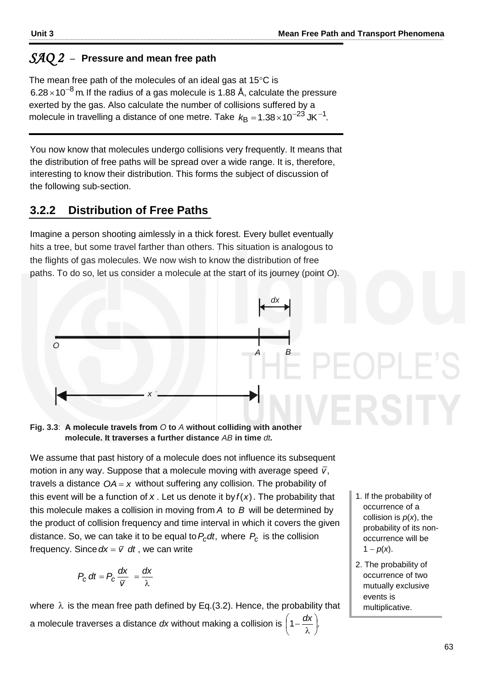#### *SAQ 2* –**Pressure and mean free path**

The mean free path of the molecules of an ideal gas at  $15^{\circ}$ C is 6.28 $\times$ 10 $^{-8}$ m. If the radius of a gas molecule is 1.88 Å, calculate the pressure exerted by the gas. Also calculate the number of collisions suffered by a molecule in travelling a distance of one metre. Take  $\mathrm{k_B}$  =1.38 $\times$ 10<sup>-23</sup> JK<sup>-1</sup>.

You now know that molecules undergo collisions very frequently. It means that the distribution of free paths will be spread over a wide range. It is, therefore, interesting to know their distribution. This forms the subject of discussion of the following sub-section.

## **3.2.2 Distribution of Free Paths**

Imagine a person shooting aimlessly in a thick forest. Every bullet eventually hits a tree, but some travel farther than others. This situation is analogous to the flights of gas molecules. We now wish to know the distribution of free paths. To do so, let us consider a molecule at the start of its journey (point *O*).



#### **Fig. 3.3**: **A molecule travels from** *O* **to** *A* **without colliding with another molecule. It traverses a further distance** *AB* **in time** *dt.*

We assume that past history of a molecule does not influence its subsequent motion in any way. Suppose that a molecule moving with average speed  $\bar{v}$ , travels a distance  $OA = x$  without suffering any collision. The probability of this event will be a function of  $x$ . Let us denote it by  $f(x)$ . The probability that this molecule makes a collision in moving from *A* to *B* will be determined by the product of collision frequency and time interval in which it covers the given distance. So, we can take it to be equal to  $P_c$ dt, where  $P_c$  is the collision frequency. Since  $dx = \overline{v}$  *dt*, we can write

$$
P_{c} dt = P_{c} \frac{dx}{\overline{v}} = \frac{dx}{\lambda}
$$

where  $\lambda$  is the mean free path defined by Eq.(3.2). Hence, the probability that a molecule traverses a distance dx without making a collision is  $\left(1-\frac{dx}{x}\right)$ .  $\big)$  $\left(1-\frac{dx}{x}\right)$  $\setminus$ ſ λ  $-\frac{dx}{x}$ 

- 1. If the probability of occurrence of a collision is *p*(*x*), the probability of its nonoccurrence will be  $1 - p(x)$ .
- 2. The probability of occurrence of two mutually exclusive events is multiplicative.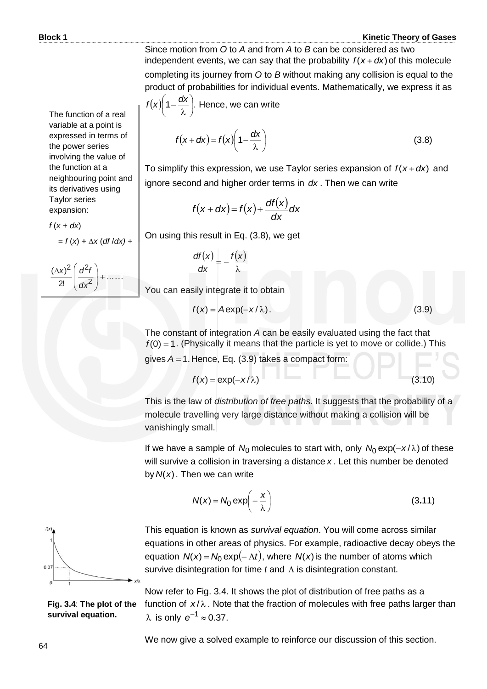(3.8)

Since motion from *O* to *A* and from *A* to *B* can be considered as two independent events, we can say that the probability  $f(x + dx)$  of this molecule completing its journey from *O* to *B* without making any collision is equal to the product of probabilities for individual events. Mathematically, we express it as

$$
f(x)\left(1-\frac{dx}{\lambda}\right)
$$
. Hence, we can write
$$
f(x+dx) = f(x)\left(1-\frac{dx}{\lambda}\right)
$$

To simplify this expression, we use Taylor series expansion of  $f(x + dx)$  and ignore second and higher order terms in *dx* . Then we can write

$$
f(x+dx) = f(x) + \frac{df(x)}{dx}dx
$$

On using this result in Eq. (3.8), we get

$$
\frac{df(x)}{dx} = -\frac{f(x)}{\lambda}
$$

You can easily integrate it to obtain

$$
f(x) = A \exp(-x/\lambda). \tag{3.9}
$$

The constant of integration *A* can be easily evaluated using the fact that  $f(0) = 1$ . (Physically it means that the particle is yet to move or collide.) This

gives  $A = 1$ . Hence, Eq.  $(3.9)$  takes a compact form:

$$
f(x) = \exp(-x/\lambda) \tag{3.10}
$$

This is the law of *distribution of free paths*. It suggests that the probability of a molecule travelling very large distance without making a collision will be vanishingly small.

If we have a sample of  $N_0$  molecules to start with, only  $N_0 \exp(-x/\lambda)$  of these will survive a collision in traversing a distance *x* . Let this number be denoted by  $N(x)$ . Then we can write

$$
N(x) = N_0 \exp\left(-\frac{x}{\lambda}\right) \tag{3.11}
$$



This equation is known as *survival equation*. You will come across similar equations in other areas of physics. For example, radioactive decay obeys the equation  $N(x) = N_0 \exp(-\Lambda t)$ , where  $N(x)$  is the number of atoms which survive disintegration for time  $t$  and  $\Lambda$  is disintegration constant.

**Fig. 3.4**: **The plot of the survival equation.**

Now refer to Fig. 3.4. It shows the plot of distribution of free paths as a function of  $x/\lambda$ . Note that the fraction of molecules with free paths larger than  $\lambda$  is only  $e^{-1} \approx 0.37$ .

We now give a solved example to reinforce our discussion of this section.

The function of a real variable at a point is expressed in terms of the power series involving the value of the function at a neighbouring point and its derivatives using Taylor series expansion:

 $f(x + dx)$ 

 $= f(x) + \Delta x (df/dx) +$ 

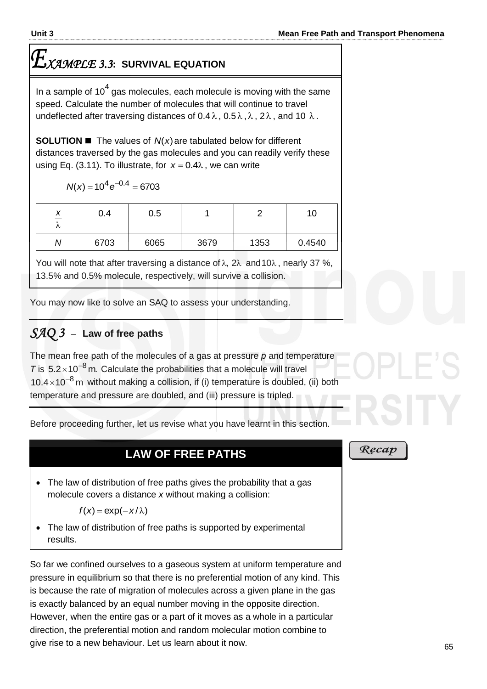# *XAMPLE 3.3***: SURVIVAL EQUATION**

In a sample of 10<sup>4</sup> gas molecules, each molecule is moving with the same speed. Calculate the number of molecules that will continue to travel undeflected after traversing distances of  $0.4\lambda$ ,  $0.5\lambda$ ,  $\lambda$ ,  $2\lambda$ , and 10  $\lambda$ .

**SOLUTION**  $\blacksquare$  The values of  $N(x)$  are tabulated below for different distances traversed by the gas molecules and you can readily verify these using Eq. (3.11). To illustrate, for  $x = 0.4\lambda$ , we can write

 $N(x) = 10^4 e^{-0.4} = 6703$ 

| ↗<br>$\overline{\phantom{0}}$<br>୵ | 0.4  | 0.5  |      |      | 10     |
|------------------------------------|------|------|------|------|--------|
|                                    | 6703 | 6065 | 3679 | 1353 | 0.4540 |

You will note that after traversing a distance of λ, 2λ and 10λ, nearly 37 %, 13.5% and 0.5% molecule, respectively, will survive a collision.

You may now like to solve an SAQ to assess your understanding.

# *SAQ 3* –**Law of free paths**

The mean free path of the molecules of a gas at pressure *p* and temperature  $T$  is  $5.2 \times 10^{-8}$  m. Calculate the probabilities that a molecule will travel  $10.4 \times 10^{-8}$  m without making a collision, if (i) temperature is doubled, (ii) both temperature and pressure are doubled, and (iii) pressure is tripled.

Before proceeding further, let us revise what you have learnt in this section.

## **LAW OF FREE PATHS**

• The law of distribution of free paths gives the probability that a gas molecule covers a distance *x* without making a collision:

$$
f(x) = \exp(-x/\lambda)
$$

• The law of distribution of free paths is supported by experimental results.

So far we confined ourselves to a gaseous system at uniform temperature and pressure in equilibrium so that there is no preferential motion of any kind. This is because the rate of migration of molecules across a given plane in the gas is exactly balanced by an equal number moving in the opposite direction. However, when the entire gas or a part of it moves as a whole in a particular direction, the preferential motion and random molecular motion combine to give rise to a new behaviour. Let us learn about it now.

#### Ręcap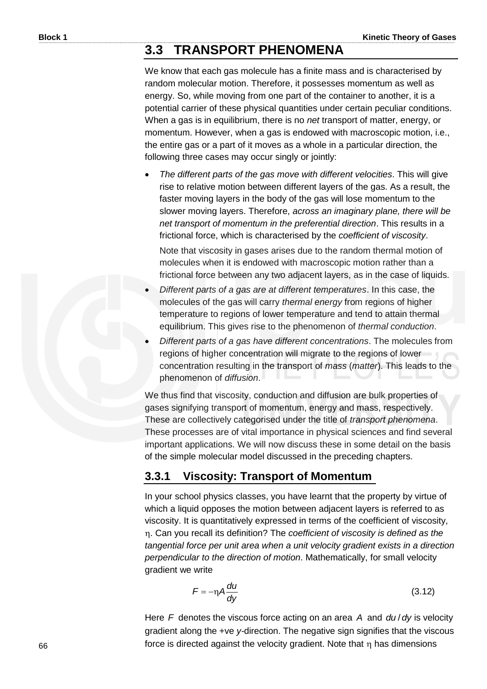## **3.3 TRANSPORT PHENOMENA**

We know that each gas molecule has a finite mass and is characterised by random molecular motion. Therefore, it possesses momentum as well as energy. So, while moving from one part of the container to another, it is a potential carrier of these physical quantities under certain peculiar conditions. When a gas is in equilibrium, there is no *net* transport of matter, energy, or momentum. However, when a gas is endowed with macroscopic motion, i.e., the entire gas or a part of it moves as a whole in a particular direction, the following three cases may occur singly or jointly:

 *The different parts of the gas move with different velocities*. This will give rise to relative motion between different layers of the gas. As a result, the faster moving layers in the body of the gas will lose momentum to the slower moving layers. Therefore, *across an imaginary plane, there will be net transport of momentum in the preferential direction*. This results in a frictional force, which is characterised by the *coefficient of viscosity*.

 Note that viscosity in gases arises due to the random thermal motion of molecules when it is endowed with macroscopic motion rather than a frictional force between any two adjacent layers, as in the case of liquids.

- *Different parts of a gas are at different temperatures*. In this case, the molecules of the gas will carry *thermal energy* from regions of higher temperature to regions of lower temperature and tend to attain thermal equilibrium. This gives rise to the phenomenon of *thermal conduction*.
- *Different parts of a gas have different concentrations*. The molecules from regions of higher concentration will migrate to the regions of lower concentration resulting in the transport of *mass* (*matter*). This leads to the phenomenon of *diffusion*.

We thus find that viscosity, conduction and diffusion are bulk properties of gases signifying transport of momentum, energy and mass, respectively. These are collectively categorised under the title of *transport phenomena*. These processes are of vital importance in physical sciences and find several important applications. We will now discuss these in some detail on the basis of the simple molecular model discussed in the preceding chapters.

### **3.3.1 Viscosity: Transport of Momentum**

In your school physics classes, you have learnt that the property by virtue of which a liquid opposes the motion between adjacent layers is referred to as viscosity. It is quantitatively expressed in terms of the coefficient of viscosity, . Can you recall its definition? The *coefficient of viscosity is defined as the tangential force per unit area when a unit velocity gradient exists in a direction perpendicular to the direction of motion*. Mathematically, for small velocity gradient we write

$$
F = -\eta A \frac{du}{dy}
$$
 (3.12)

Here F denotes the viscous force acting on an area A and du/dy is velocity gradient along the +ve *y-*direction. The negative sign signifies that the viscous force is directed against the velocity gradient. Note that n has dimensions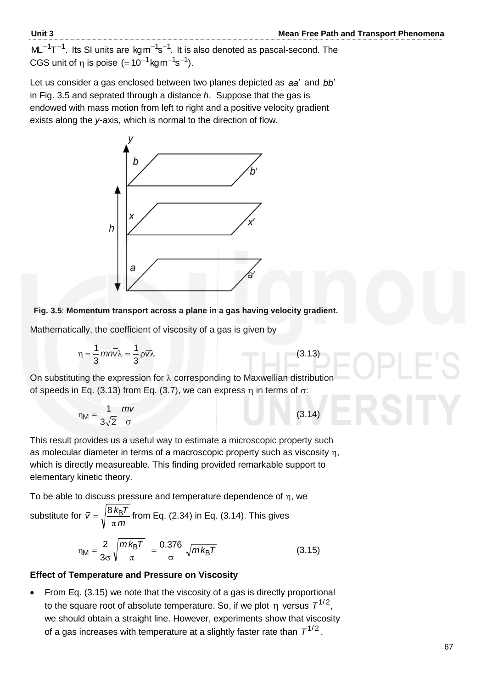$ML^{-1}T^{-1}$ . Its SI units are kg $m^{-1}s^{-1}$ . It is also denoted as pascal-second. The CGS unit of  $\eta$  is poise (=10<sup>-1</sup>kgm<sup>-1</sup>s<sup>-1</sup>).

Let us consider a gas enclosed between two planes depicted as aa' and bb' in Fig. 3.5 and seprated through a distance *h*. Suppose that the gas is endowed with mass motion from left to right and a positive velocity gradient exists along the *y*-axis, which is normal to the direction of flow.



#### **Fig. 3.5**: **Momentum transport across a plane in a gas having velocity gradient.**

Mathematically, the coefficient of viscosity of a gas is given by

$$
\eta = \frac{1}{3} m n \overline{v} \lambda = \frac{1}{3} \rho \overline{v} \lambda
$$
 (3.13)

On substituting the expression for  $\lambda$  corresponding to Maxwellian distribution of speeds in Eq. (3.13) from Eq. (3.7), we can express  $\eta$  in terms of  $\sigma$ :

$$
\eta_{\rm M} = \frac{1}{3\sqrt{2}} \frac{m\overline{v}}{\sigma} \tag{3.14}
$$

This result provides us a useful way to estimate a microscopic property such as molecular diameter in terms of a macroscopic property such as viscosity  $\eta$ , which is directly measureable. This finding provided remarkable support to elementary kinetic theory.

To be able to discuss pressure and temperature dependence of  $\eta$ , we

substitute for 
$$
\overline{v} = \sqrt{\frac{8 k_{\text{B}} T}{\pi m}}
$$
 from Eq. (2.34) in Eq. (3.14). This gives  

$$
\eta_{\text{M}} = \frac{2}{3\sigma} \sqrt{\frac{m k_{\text{B}} T}{\pi}} = \frac{0.376}{\sigma} \sqrt{m k_{\text{B}} T}
$$
(3.15)

#### **Effect of Temperature and Pressure on Viscosity**

 From Eq. (3.15) we note that the viscosity of a gas is directly proportional to the square root of absolute temperature. So, if we plot  $\eta$  versus  $\mathcal{T}^{1/2},$ we should obtain a straight line. However, experiments show that viscosity of a gas increases with temperature at a slightly faster rate than  $\, {\cal T}^{1/2}$  .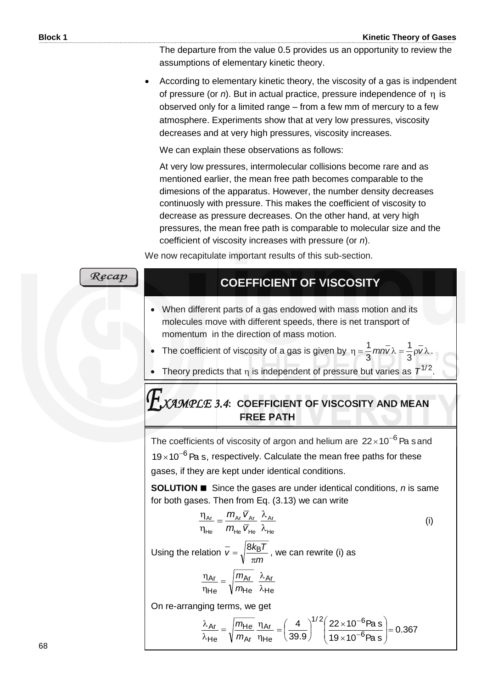The departure from the value 0.5 provides us an opportunity to review the assumptions of elementary kinetic theory.

 According to elementary kinetic theory, the viscosity of a gas is indpendent of pressure (or  $n$ ). But in actual practice, pressure independence of  $n_i$  is observed only for a limited range – from a few mm of mercury to a few atmosphere. Experiments show that at very low pressures, viscosity decreases and at very high pressures, viscosity increases.

We can explain these observations as follows:

At very low pressures, intermolecular collisions become rare and as mentioned earlier, the mean free path becomes comparable to the dimesions of the apparatus. However, the number density decreases continuosly with pressure. This makes the coefficient of viscosity to decrease as pressure decreases. On the other hand, at very high pressures, the mean free path is comparable to molecular size and the coefficient of viscosity increases with pressure (or *n*).

We now recapitulate important results of this sub-section.

Recap **COEFFICIENT OF VISCOSITY** When different parts of a gas endowed with mass motion and its molecules move with different speeds, there is net transport of momentum in the direction of mass motion.  $\frac{1}{2}$  mn $\bar{v} \lambda = \frac{1}{2} \rho \bar{v} \lambda$ . 1 • The coefficient of viscosity of a gas is given by  $\eta = \frac{1}{2} m n v \lambda = \frac{1}{2} \rho v \lambda$ 3 3 • Theory predicts that  $\eta$  is independent of pressure but varies as  $T^{1/2}$ . *XAMPLE 3.4***: COEFFICIENT OF VISCOSITY AND MEAN FREE PATH**The coefficients of viscosity of argon and helium are  $22\times10^{-6}$  Pa s and  $19\times10^{-6}$  Pa s, respectively. Calculate the mean free paths for these gases, if they are kept under identical conditions. **SOLUTION ■** Since the gases are under identical conditions, *n* is same for both gases. Then from Eq. (3.13) we can write  $\eta$  $=\frac{m_{Ar}\,\overline{V}_{Ar}}{2}$  $m_{\scriptscriptstyle{Ar}}$   $\bar{v}$ Ar Ar **'** Ar Ar (i) η  $m_{\scriptscriptstyle \sf He}$   $\bar{\sf v}$ λ He 'He <sup>v</sup> He He  $\overline{v} = \sqrt{\frac{8k_B T}{v}}$  $=\sqrt{\frac{8 k_{\rm B} T}{s}}$  , we can rewrite (i) as Using the relation  $\pi$ *m*  $\eta$ *m* λ Ar <u>Ar</u> <u>Ar</u>  $=$ λ η *m* He He He On re-arranging terms, we get  $1/2(22 \times 10^{-6}$ ſ  $\overline{a}$  $\setminus$ λ  $=\sqrt{\frac{m_{\text{He}}}{m_{\text{He}}}}$  $\frac{m_{\text{He}}}{g} = \left(\frac{4}{\pi\epsilon_0}\right)^{1/2} \left(\frac{22 \times 10^{-6} \text{Pa s}}{\epsilon}\right) = 0.367$ 4  $\vert$ "  $\vert$  22  $\times$  $22\times10^{-6}$ Pa s  $=\left(\frac{4}{39.9}\right)^{1/2}\left(\frac{22\times10^{-1}}{10\times10^{-1}}\right)$  $\left(\frac{4}{22} \right)$ Ar H Ar I  $\overline{\phantom{a}}$  $\vert$ I 6 λ *m* η 39.9 Y Ј  $19\times10^{-6}$ Pa s  $\times$ He Ar He  $\overline{\mathcal{L}}$ J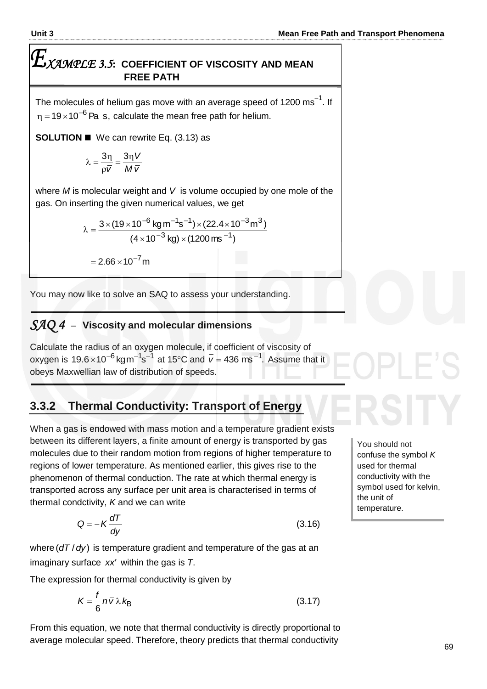# $\boldsymbol{E}_{\textit{XAMPLE 3.5: COEFFICIENT OF VISCOSITY AND MEAN}$ **FREE PATH**

The molecules of helium gas move with an average speed of 1200  $\mathrm{ms}^{-1}$ . If  $\eta$  =19 $\times$ 10 $^{-6}$  Pa  $\,$  s, calculate the mean free path for helium.

**SOLUTION ■** We can rewrite Eq. (3.13) as

$$
\lambda = \frac{3\eta}{\rho \overline{v}} = \frac{3\eta V}{M \overline{v}}
$$

where *M* is molecular weight and *V* is volume occupied by one mole of the gas. On inserting the given numerical values, we get

$$
\lambda = \frac{3 \times (19 \times 10^{-6} \text{ kg m}^{-1} \text{s}^{-1}) \times (22.4 \times 10^{-3} \text{ m}^3)}{(4 \times 10^{-3} \text{ kg}) \times (1200 \text{ ms}^{-1})}
$$

 $= 2.66 \times 10^{-7}$  m

You may now like to solve an SAQ to assess your understanding.

## *SAQ 4* –**Viscosity and molecular dimensions**

Calculate the radius of an oxygen molecule, if coefficient of viscosity of oxygen is 19.6 $\times$ 10<sup>-6</sup> kgm $^{-1}$ s $^{-1}$  at 15°C and  $\bar{v}$  = 436 ms $^{-1}$ . Assume that it obeys Maxwellian law of distribution of speeds.

## **3.3.2 Thermal Conductivity: Transport of Energy**

When a gas is endowed with mass motion and a temperature gradient exists between its different layers, a finite amount of energy is transported by gas molecules due to their random motion from regions of higher temperature to regions of lower temperature. As mentioned earlier, this gives rise to the phenomenon of thermal conduction. The rate at which thermal energy is transported across any surface per unit area is characterised in terms of thermal condctivity, *K* and we can write

$$
Q = -K \frac{dT}{dy}
$$
 (3.16)

where (dT / dy) is temperature gradient and temperature of the gas at an imaginary surface xx' within the gas is T.

The expression for thermal conductivity is given by

$$
K = \frac{f}{6} n \overline{v} \lambda k_{\text{B}}
$$
 (3.17)

From this equation, we note that thermal conductivity is directly proportional to average molecular speed. Therefore, theory predicts that thermal conductivity

You should not confuse the symbol *K*  used for thermal conductivity with the symbol used for kelvin, the unit of temperature.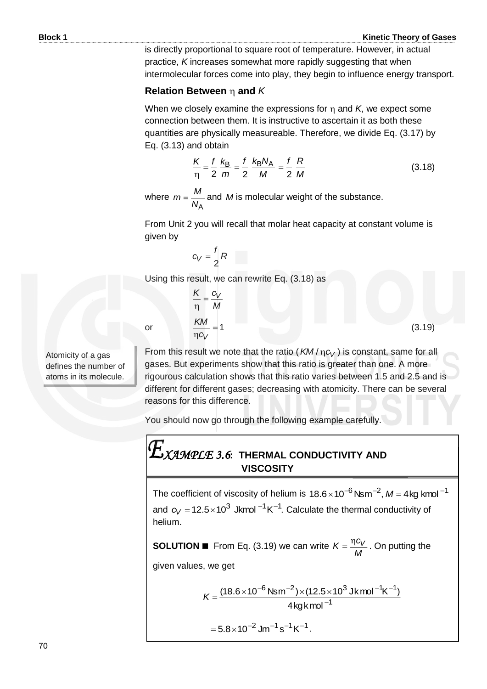(3.19)

is directly proportional to square root of temperature. However, in actual practice, *K* increases somewhat more rapidly suggesting that when intermolecular forces come into play, they begin to influence energy transport.

#### **Relation Between and** *K*

When we closely examine the expressions for  $\eta$  and  $K$ , we expect some connection between them. It is instructive to ascertain it as both these quantities are physically measureable. Therefore, we divide Eq. (3.17) by Eq. (3.13) and obtain

$$
\frac{K}{\eta} = \frac{f}{2} \frac{k_{\text{B}}}{m} = \frac{f}{2} \frac{k_{\text{B}} N_{\text{A}}}{M} = \frac{f}{2} \frac{R}{M}
$$
(3.18)

where *N*<sup>A</sup>  $m = \frac{M}{M}$  and *M* is molecular weight of the substance.

From Unit 2 you will recall that molar heat capacity at constant volume is given by

$$
c_V = \frac{f}{2}R
$$

*M*  $\frac{K}{I} = \frac{c_V}{I}$ η

 $n$ *c*<sub>*V*</sub> *KM*

Using this result, we can rewrite Eq. (3.18) as

or  $\frac{1}{100}$  = 1

Atomicity of a gas defines the number of atoms in its molecule.

From this result we note that the ratio ( $KM/\eta c_V$ ) is constant, same for all gases. But experiments show that this ratio is greater than one. A more rigourous calculation shows that this ratio varies between 1.5 and 2.5 and is different for different gases; decreasing with atomicity. There can be several reasons for this difference.

You should now go through the following example carefully.

# *XAMPLE 3.6***: THERMAL CONDUCTIVITY AND VISCOSITY**

The coefficient of viscosity of helium is 18.6 $\times$ 10<sup>–6</sup> Nsm<sup>–2</sup>, M = 4kg kmol <sup>–1</sup> and  $c_V = 12.5 \times 10^3$  Jkmol  $^{-1}$ K<sup>-1</sup>. Calculate the thermal conductivity of helium.

**SOLUTION** ■ From Eq. (3.19) we can write *M*  $K = \frac{\eta c_V}{\eta c}$ . On putting the

given values, we get

$$
K = \frac{(18.6 \times 10^{-6} \text{ Nsm}^{-2}) \times (12.5 \times 10^{3} \text{ Jkmol}^{-1} \text{K}^{-1})}{4 \text{ kgkmol}^{-1}}
$$

$$
= 5.8 \times 10^{-2} \text{ Jm}^{-1} \text{s}^{-1} \text{K}^{-1}.
$$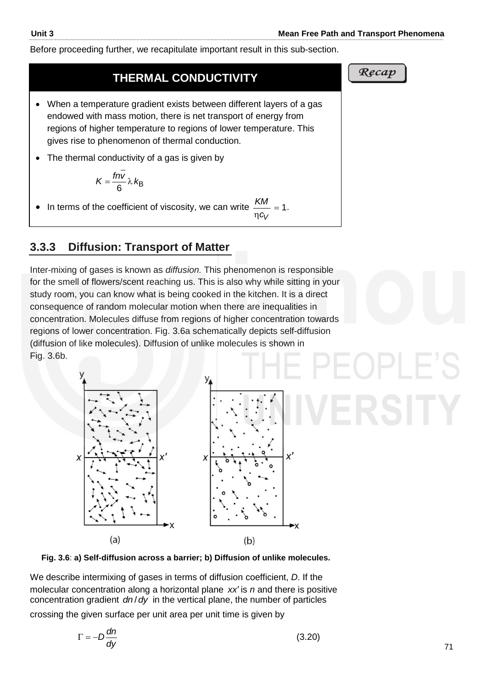Before proceeding further, we recapitulate important result in this sub-section.

## **THERMAL CONDUCTIVITY**

- When a temperature gradient exists between different layers of a gas endowed with mass motion, there is net transport of energy from regions of higher temperature to regions of lower temperature. This gives rise to phenomenon of thermal conduction.
- The thermal conductivity of a gas is given by

$$
K=\frac{fn\bar{v}}{6}\lambda k_B
$$

In terms of the coefficient of viscosity, we can write  $\frac{100}{100}$  = 1  $n$ *C*<sub>*V*</sub>  $\frac{KM}{\sim}$  = 1.

## **3.3.3 Diffusion: Transport of Matter**

Inter-mixing of gases is known as *diffusion.* This phenomenon is responsible for the smell of flowers/scent reaching us. This is also why while sitting in your study room, you can know what is being cooked in the kitchen. It is a direct consequence of random molecular motion when there are inequalities in concentration. Molecules diffuse from regions of higher concentration towards regions of lower concentration. Fig. 3.6a schematically depicts self-diffusion (diffusion of like molecules). Diffusion of unlike molecules is shown in Fig. 3.6b.





We describe intermixing of gases in terms of diffusion coefficient, *D*. If the molecular concentration along a horizontal plane xx' is n and there is positive concentration gradient *dn*/*dy* in the vertical plane, the number of particles

crossing the given surface per unit area per unit time is given by

$$
\Gamma = -D \frac{dn}{dy} \tag{3.20}
$$

Recap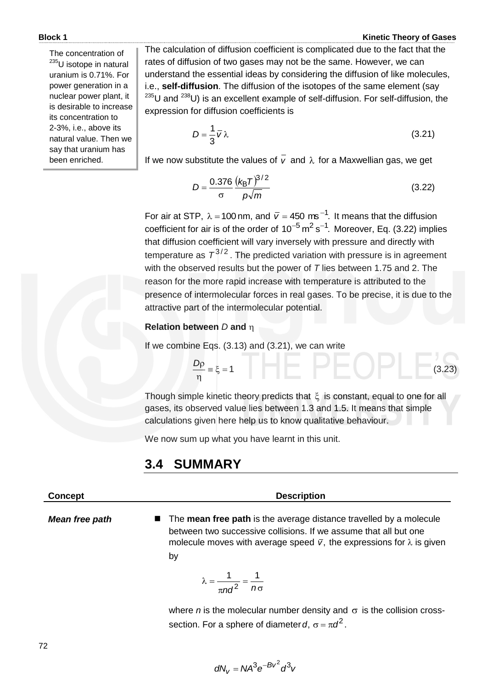#### **Block 1 Kinetic Theory of Gases**

The concentration of <sup>235</sup>U isotope in natural uranium is 0.71%. For power generation in a nuclear power plant, it is desirable to increase its concentration to 2-3%, i.e., above its natural value. Then we say that uranium has been enriched.

The calculation of diffusion coefficient is complicated due to the fact that the rates of diffusion of two gases may not be the same. However, we can understand the essential ideas by considering the diffusion of like molecules, i.e., **self-diffusion**. The diffusion of the isotopes of the same element (say  $^{235}$ U and  $^{238}$ U) is an excellent example of self-diffusion. For self-diffusion, the expression for diffusion coefficients is

$$
D = \frac{1}{3}\overline{v}\lambda\tag{3.21}
$$

If we now substitute the values of  $v$  and  $\lambda$  for a Maxwellian gas, we get

$$
D = \frac{0.376}{\sigma} \frac{(k_{\rm B} T)^{3/2}}{p\sqrt{m}}
$$
 (3.22)

For air at STP,  $\lambda = 100$  nm, and  $\bar{v} = 450$  ms<sup>-1</sup>. It means that the diffusion coefficient for air is of the order of  $10^{-5}$  m<sup>2</sup> s<sup>-1</sup>. Moreover, Eq. (3.22) implies that diffusion coefficient will vary inversely with pressure and directly with temperature as  $T_1^{3/2}$ . The predicted variation with pressure is in agreement with the observed results but the power of *T* lies between 1.75 and 2. The reason for the more rapid increase with temperature is attributed to the presence of intermolecular forces in real gases. To be precise, it is due to the attractive part of the intermolecular potential.

#### **Relation between** *D* **and**

If we combine Eqs. (3.13) and (3.21), we can write

$$
\frac{Dp}{\eta} = \xi = 1
$$
 (3.23)

Though simple kinetic theory predicts that  $\xi$  is constant, equal to one for all gases, its observed value lies between 1.3 and 1.5. It means that simple calculations given here help us to know qualitative behaviour.

We now sum up what you have learnt in this unit.

## **3.4 SUMMARY**

#### **Concept Description**

*Mean free path*

■ The **mean free path** is the average distance travelled by a molecule between two successive collisions. If we assume that all but one molecule moves with average speed  $\bar{v}$ , the expressions for  $\lambda$  is given by

$$
\lambda = \frac{1}{\pi n d^2} = \frac{1}{n \sigma}
$$

where  $n$  is the molecular number density and  $\sigma$  is the collision crosssection. For a sphere of diameter  $d$ ,  $\sigma$  =  $\pi d^2$ .

$$
dN_V = N A^3 e^{-Bv^2} d^3 v
$$

72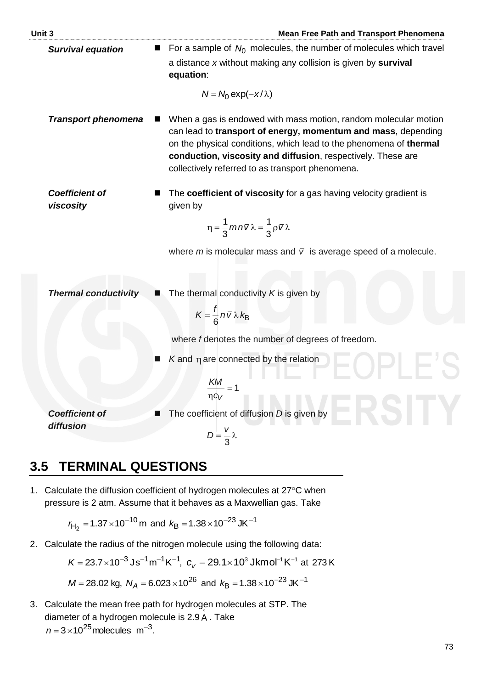| Unit 3                             | <b>Mean Free Path and Transport Phenomena</b>                                                                                                                                                                                                                                                                              |
|------------------------------------|----------------------------------------------------------------------------------------------------------------------------------------------------------------------------------------------------------------------------------------------------------------------------------------------------------------------------|
| <b>Survival equation</b>           | For a sample of $N_0$ molecules, the number of molecules which travel<br>a distance x without making any collision is given by survival<br>equation:                                                                                                                                                                       |
|                                    | $N = N_0 \exp(-x/\lambda)$                                                                                                                                                                                                                                                                                                 |
| <b>Transport phenomena</b>         | When a gas is endowed with mass motion, random molecular motion<br>can lead to transport of energy, momentum and mass, depending<br>on the physical conditions, which lead to the phenomena of thermal<br>conduction, viscosity and diffusion, respectively. These are<br>collectively referred to as transport phenomena. |
| <b>Coefficient of</b><br>viscosity | The coefficient of viscosity for a gas having velocity gradient is<br>given by<br>$\eta = \frac{1}{3} m n \overline{v} \lambda = \frac{1}{3} \rho \overline{v} \lambda$                                                                                                                                                    |
|                                    | where m is molecular mass and $\overline{v}$ is average speed of a molecule.                                                                                                                                                                                                                                               |
| <b>Thermal conductivity</b>        | The thermal conductivity $K$ is given by<br>$K=\frac{1}{6}n\bar{v}\lambda k_B$                                                                                                                                                                                                                                             |
|                                    | where f denotes the number of degrees of freedom.                                                                                                                                                                                                                                                                          |
|                                    | $K$ and $\eta$ are connected by the relation                                                                                                                                                                                                                                                                               |
|                                    | KM<br>$\eta c_V$                                                                                                                                                                                                                                                                                                           |
| <b>Coefficient of</b><br>diffusion | The coefficient of diffusion D is given by<br>$D=\frac{\overline{V}}{3}\lambda$                                                                                                                                                                                                                                            |
|                                    |                                                                                                                                                                                                                                                                                                                            |

# **3.5 TERMINAL QUESTIONS**

1. Calculate the diffusion coefficient of hydrogen molecules at  $27^{\circ}$ C when pressure is 2 atm. Assume that it behaves as a Maxwellian gas. Take

$$
r_{\text{H}_2} = 1.37 \times 10^{-10} \,\text{m} \text{ and } k_{\text{B}} = 1.38 \times 10^{-23} \,\text{J} \text{K}^{-1}
$$

2. Calculate the radius of the nitrogen molecule using the following data:

$$
K = 23.7 \times 10^{-3} \text{Js}^{-1} \text{m}^{-1} \text{K}^{-1}, \ c_V = 29.1 \times 10^3 \text{ Jk} \text{mol}^{-1} \text{K}^{-1} \text{ at } 273 \text{ K}
$$

$$
M = 28.02 \text{ kg}, \ N_A = 6.023 \times 10^{26} \text{ and } k_B = 1.38 \times 10^{-23} \text{ J} \text{K}^{-1}
$$

3. Calculate the mean free path for hydrogen molecules at STP. The diameter of a hydrogen molecule is 2.9 A. Take  $n = 3 \times 10^{25}$  molecules m<sup>-3</sup>.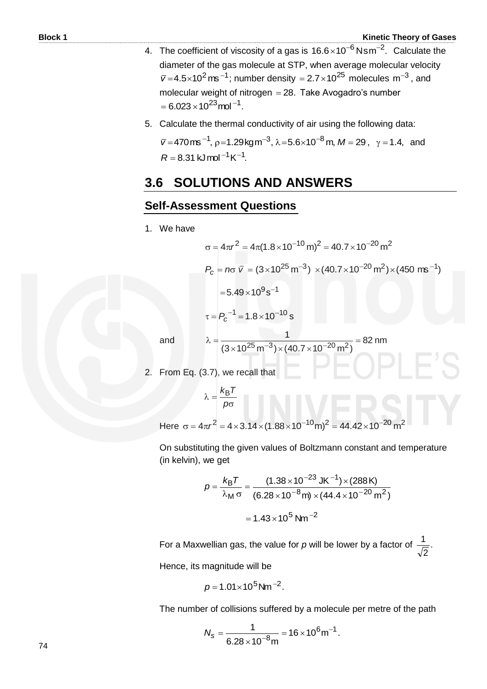- 4. The coefficient of viscosity of a gas is  $16.6 \times 10^{-6}$  Nsm<sup>-2</sup>. Calculate the diameter of the gas molecule at STP, when average molecular velocity  $\bar{v}$ =4.5×10<sup>2</sup> ms<sup>-1</sup>; number density = 2.7×10<sup>25</sup> molecules m<sup>-3</sup>, and molecular weight of nitrogen 28. Take Avogadro's number  $= 6.023 \times 10^{23}$  mol<sup>-1</sup>.
- 5. Calculate the thermal conductivity of air using the following data:

 $\bar{v}$  = 470 ms <sup>-1</sup>, p=1.29kg m<sup>-3</sup>,  $\lambda$  = 5.6×10<sup>-8</sup> m, M = 29,  $\gamma$  = 1.4, and  $R = 8.31$  kJ mol<sup>-1</sup> K<sup>-1</sup>.

# **3.6 SOLUTIONS AND ANSWERS**

### **Self-Assessment Questions**

1. We have

$$
\sigma = 4\pi r^2 = 4\pi (1.8 \times 10^{-10} \text{ m})^2 = 40.7 \times 10^{-20} \text{ m}^2
$$
  
\n
$$
P_c = n\sigma \bar{V} = (3 \times 10^{25} \text{ m}^{-3}) \times (40.7 \times 10^{-20} \text{ m}^2) \times (450 \text{ m}^{-1})
$$
  
\n= 5.49 \times 10<sup>9</sup> s<sup>-1</sup>  
\n
$$
\tau = P_c^{-1} = 1.8 \times 10^{-10} \text{ s}
$$

and

$$
\lambda = \frac{1}{(3 \times 10^{25} \,\mathrm{m}^{-3}) \times (40.7 \times 10^{-20} \,\mathrm{m}^2)} = 82 \,\mathrm{nm}
$$

2. From Eq.  $(3.7)$ , we recall that

$$
\lambda = \frac{k_{\rm B}T}{\rho \sigma}
$$

Here  $\sigma = 4\pi r^2 = 4 \times 3.14 \times (1.88 \times 10^{-10} \text{m})^2 = 44.42 \times 10^{-20} \text{m}^2$ 

 On substituting the given values of Boltzmann constant and temperature (in kelvin), we get

$$
p = \frac{k_{\rm B}T}{\lambda_{\rm M}\,\sigma} = \frac{(1.38 \times 10^{-23} \text{ JK}^{-1}) \times (288 \text{ K})}{(6.28 \times 10^{-8} \text{ m}) \times (44.4 \times 10^{-20} \text{ m}^2)}
$$

$$
= 1.43 \times 10^5 \text{ Nm}^{-2}
$$

For a Maxwellian gas, the value for p will be lower by a factor of  $\frac{1}{\sqrt{m}}$ . 2 1 Hence, its magnitude will be

$$
p = 1.01 \times 10^5
$$
 Nm<sup>-2</sup>.

The number of collisions suffered by a molecule per metre of the path

$$
N_s = \frac{1}{6.28 \times 10^{-8} \text{m}} = 16 \times 10^6 \text{m}^{-1}.
$$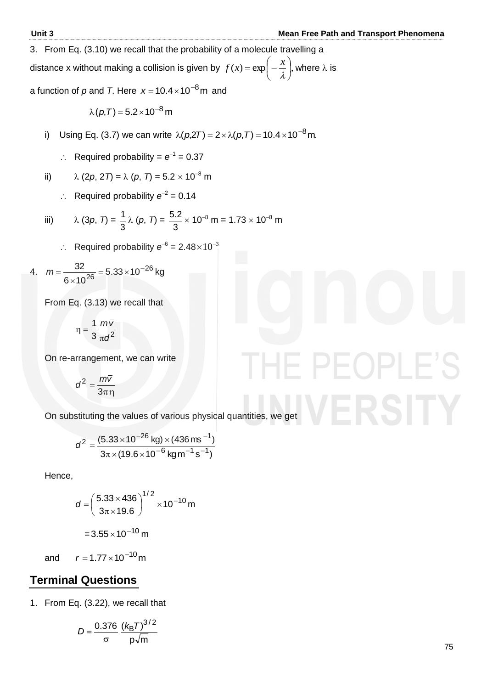PFOPLF

3. From Eq. (3.10) we recall that the probability of a molecule travelling a

distance x without making a collision is given by  $f(x) = \exp\left(-\frac{x}{a}\right)$ ,  $\bigg)$  $\left(-\frac{x}{a}\right)$  $\setminus$  $=\exp\left(-\frac{x}{\lambda}\right)$  $f(x) = \exp\left(-\frac{x}{a}\right)$ , where  $\lambda$  is

a function of  $p$  and  $\mathcal{T}$ . Here  $\vert x\vert =$  10.4 $\times$ 10 $^{-8}$ m and

 $\lambda(p,T) = 5.2 \times 10^{-8}$  m

- i) Using Eq. (3.7) we can write  $\lambda(p,2T) = 2 \times \lambda(p,T) = 10.4 \times 10^{-8}$  m.
- $\therefore$  Required probability =  $e^{-1}$  = 0.37

ii) 
$$
\lambda (2p, 2T) = \lambda (p, T) = 5.2 \times 10^{-8} \text{ m}
$$

 $\therefore$  Required probability  $e^{-2} = 0.14$ 

iii) 
$$
\lambda (3p, 7) = \frac{1}{3} \lambda (p, 7) = \frac{5.2}{3} \times 10^{-8} \text{ m} = 1.73 \times 10^{-8} \text{ m}
$$

 $\therefore$  Required probability  $e^{-6} = 2.48 \times 10^{-3}$ 

4. 
$$
m = \frac{32}{6 \times 10^{26}} = 5.33 \times 10^{-26} \text{ kg}
$$

From Eq. (3.13) we recall that

$$
\eta = \frac{1}{3} \frac{m\overline{v}}{\pi d^2}
$$

On re-arrangement, we can write

$$
d^2 = \frac{m\overline{v}}{3\pi\eta}
$$

On substituting the values of various physical quantities, we get

$$
d^{2} = \frac{(5.33 \times 10^{-26} \text{ kg}) \times (436 \text{ ms}^{-1})}{3\pi \times (19.6 \times 10^{-6} \text{ kg m}^{-1} \text{ s}^{-1})}
$$

Hence,

$$
d = \left(\frac{5.33 \times 436}{3\pi \times 19.6}\right)^{1/2} \times 10^{-10} \text{ m}
$$

$$
= 3.55 \times 10^{-10} \text{ m}
$$

and  $r = 1.77 \times 10^{-10}$  m

## **Terminal Questions**

1. From Eq. (3.22), we recall that

$$
D = \frac{0.376}{\sigma} \frac{(k_B T)^{3/2}}{p\sqrt{m}}
$$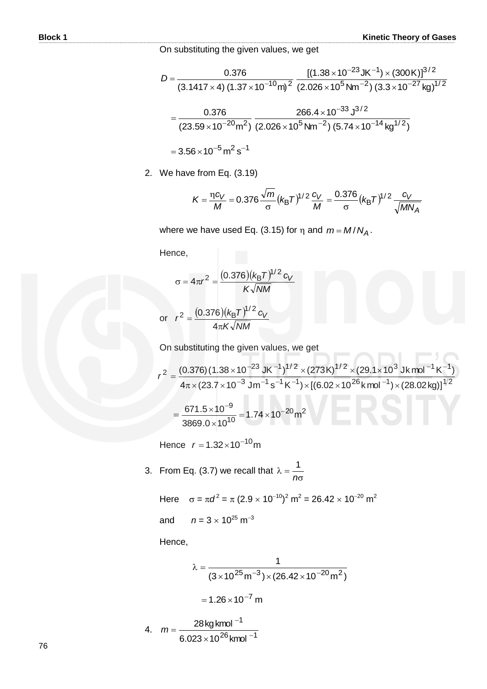On substituting the given values, we get

$$
D = \frac{0.376}{(3.1417 \times 4) (1.37 \times 10^{-10} \text{m})^2} \frac{[(1.38 \times 10^{-23} \text{J K}^{-1}) \times (300 \text{K})]^{3/2}}{(2.026 \times 10^5 \text{N m}^{-2}) (3.3 \times 10^{-27} \text{kg})^{1/2}}
$$
  
= 
$$
\frac{0.376}{(23.59 \times 10^{-20} \text{m}^2)} \frac{266.4 \times 10^{-33} \text{J}^{3/2}}{(2.026 \times 10^5 \text{N m}^{-2}) (5.74 \times 10^{-14} \text{kg}^{1/2})}
$$
  
= 3.56 × 10<sup>-5</sup> m<sup>2</sup> s<sup>-1</sup>

2. We have from Eq. (3.19)

$$
K = \frac{\eta c_V}{M} = 0.376 \frac{\sqrt{m}}{\sigma} (k_B T)^{1/2} \frac{c_V}{M} = \frac{0.376}{\sigma} (k_B T)^{1/2} \frac{c_V}{\sqrt{MN_A}}
$$

where we have used Eq. (3.15) for  $\eta$  and  $m = M/N_A$ .

Hence,

$$
\sigma = 4\pi r^2 = \frac{(0.376)(k_{\text{B}}T)^{1/2} c_V}{K\sqrt{NM}}
$$
  
or 
$$
r^2 = \frac{(0.376)(k_{\text{B}}T)^{1/2} c_V}{4\pi K\sqrt{NM}}
$$

On substituting the given values, we get

$$
r^{2} = \frac{(0.376)(1.38 \times 10^{-23} \text{ J K}^{-1})^{1/2} \times (273 \text{ K})^{1/2} \times (29.1 \times 10^{3} \text{ J K} \text{ mol}^{-1} \text{ K}^{-1})}{4\pi \times (23.7 \times 10^{-3} \text{ J m}^{-1} \text{s}^{-1} \text{ K}^{-1}) \times [(6.02 \times 10^{26} \text{ K} \text{ mol}^{-1}) \times (28.02 \text{ kg})]^{1/2}}
$$

$$
= \frac{671.5 \times 10^{-9}}{3869.0 \times 10^{10}} = 1.74 \times 10^{-20} \text{ m}^{2}
$$

Hence  $r = 1.32 \times 10^{-10}$ m

3. From Eq. (3.7) we recall that  $\overline{\sigma}$  $\lambda =$ *n* 1

Here  $σ = πd^2 = π (2.9 × 10^{-10})^2 m^2 = 26.42 × 10^{-20} m^2$ and  $n = 3 \times 10^{25} \text{ m}^{-3}$ 

Hence,

4.

$$
\lambda = \frac{1}{(3 \times 10^{25} \text{ m}^{-3}) \times (26.42 \times 10^{-20} \text{ m}^2)}
$$

$$
= 1.26 \times 10^{-7} \text{ m}
$$
4. 
$$
m = \frac{28 \text{ kg kmol}^{-1}}{6.023 \times 10^{26} \text{ kmol}^{-1}}
$$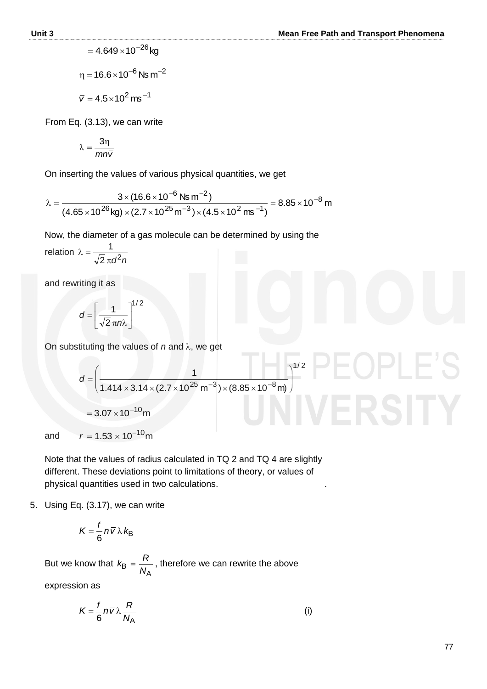$$
=4.649\times10^{-26}\,\text{kg}
$$

 $\eta$  = 16.6 $\times$ 10 $^{-6}$  Ns m $^{-2}$  $\bar{v} = 4.5 \times 10^2$  ms<sup>-1</sup>

From Eq. (3.13), we can write

$$
\lambda=\frac{3\eta}{mn\overline{v}}
$$

On inserting the values of various physical quantities, we get

$$
\lambda = \frac{3 \times (16.6 \times 10^{-6} \text{ Ns m}^{-2})}{(4.65 \times 10^{26} \text{ kg}) \times (2.7 \times 10^{25} \text{ m}^{-3}) \times (4.5 \times 10^{2} \text{ m s}^{-1})} = 8.85 \times 10^{-8} \text{ m}
$$

Now, the diameter of a gas molecule can be determined by using the

relation 
$$
\lambda = \frac{1}{\sqrt{2} \pi d^2 n}
$$

and rewriting it as

$$
d = \left[\frac{1}{\sqrt{2} \pi n\lambda}\right]^{1/2}
$$

On substituting the values of  $n$  and  $\lambda$ , we get

$$
d = \left(\frac{1}{1.414 \times 3.14 \times (2.7 \times 10^{25} \text{ m}^{-3}) \times (8.85 \times 10^{-8} \text{ m})}\right)^{1/2}
$$
  
= 3.07 × 10<sup>-10</sup>m

and  $r = 1.53 \times 10^{-10}$ m

 Note that the values of radius calculated in TQ 2 and TQ 4 are slightly different. These deviations point to limitations of theory, or values of physical quantities used in two calculations. .

5. Using Eq. (3.17), we can write

$$
K=\frac{f}{6}\,n\,\overline{v}\,\lambda\,k_{\rm B}
$$

 But we know that  $B = \frac{1}{N_A}$  $k_{\rm B} = \frac{R}{\sqrt{R}}$ , therefore we can rewrite the above

expression as

$$
K = \frac{f}{6} n \overline{v} \lambda \frac{R}{N_A} \tag{i}
$$

PF